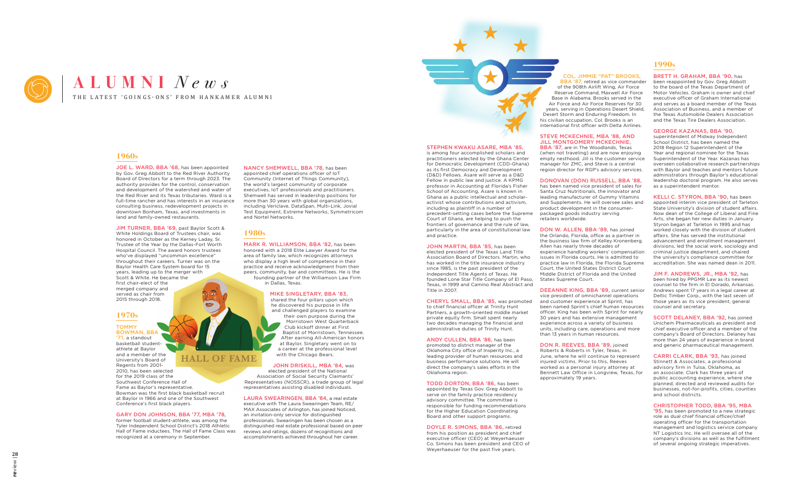#### STEPHEN KWAKU ASARE, MBA '85,

is among four accomplished scholars and practitioners selected by the Ghana Center for Democratic Development (CDD-Ghana) as its first Democracy and Development (D&D) Fellows. Asare will serve as a D&D Fellow in public law and justice. A KPMG professor in Accounting at Florida's Fisher School of Accounting, Asare is known in Ghana as a public intellectual and scholaractivist whose contributions and activism, including as plaintiff in a number of precedent-setting cases before the Supreme Court of Ghana, are helping to push the frontiers of governance and the rule of law, particularly in the area of constitutional law and practice.

JOHN MARTIN, BBA '85, has been elected president of the Texas Land Title Association Board of Directors. Martin, who has worked in the title insurance industry since 1985, is the past president of the Independent Title Agents of Texas. He founded Lone Star Title Company of El Paso, Texas, in 1999 and Camino Real Abstract and Title in 2007.

CHERYL SMALL, BBA '85, was promoted to chief financial officer at Trinity Hunt Partners, a growth-oriented middle market private equity firm. Small spent nearly two decades managing the financial and administrative duties of Trinity Hunt.

BBA '87, retired as vice commander of the 908th Airlift Wing, Air Force Reserve Command, Maxwell Air Force Base in Alabama. Brooks served in the Air Force and Air Force Reserves for 30 years, serving in Operations Desert Shield, Desert Storm and Enduring Freedom. In his civilian occupation, Col. Brooks is an international first officer with Delta Airlines.

BBA '87, are in The Woodlands, Texas (when not traveling) and are now enjoying empty nesthood. Jill is the customer service manager for ZMC, and Steve is a central region director for RGP's advisory services.

ANDY CULLEN, BBA '86, has been promoted to district manager of the Oklahoma City office of Insperity Inc., a leading provider of human resources and business performance solutions. He will direct the company's sales efforts in the Oklahoma region.

TODD DORTON, BBA '86, has been appointed by Texas Gov. Greg Abbott to serve on the family practice residency advisory committee. The committee is responsible for funding recommendations for the Higher Education Coordinating Board and other support programs.

DON W. ALLEN, BBA '89, has joined the Orlando, Florida, office as a partner in the business law firm of Kelley Kronenberg. Allen has nearly three decades of experience handling workers' compensation issues in Florida courts. He is admitted to practice law in Florida, the Florida Supreme Court, the United States District Court Middle District of Florida and the United States Supreme Court.

DOYLE R. SIMONS, BBA '86, retired from his position as president and chief executive officer (CEO) at Weyerhaeuser Co. Simons has been president and CEO of Weyerhaeuser for the past five years.

#### COL. JIMMIE "PAT" BROOKS,

#### STEVE MCKECHNIE, MBA '88, AND JILL MONTGOMERY MCKECHNIE,

DONOVAN (DON) RUSSELL, BBA '88,

has been named vice president of sales for Santa Cruz Nutritionals, the innovator and leading manufacturer of Gummy Vitamins and Supplements. He will oversee sales and product development in the consumerpackaged goods industry serving retailers worldwide.

> '95, has been promoted to a new strategic role as dual chief financial officer/chief operating officer for the transportation management and logistics service company NT Logistics Inc. He will oversee all of the company's divisions as well as the fulfillment of several ongoing strategic imperatives.

DEEANNE KING, BBA '89, current senior vice president of omnichannel operations and customer experience at Sprint, has been named Sprint's chief human resources officer. King has been with Sprint for nearly 30 years and has extensive management experience across a variety of business units, including care, operations and more than 13 years in human resources.

DON R. REEVES, BBA '89, joined Roberts & Roberts in Tyler, Texas, in June, where he will continue to represent injured victims. Prior to this, Reeves worked as a personal injury attorney at Bennett Law Office in Longview, Texas, for approximately 19 years.

# **1990s**

#### BRETT H. GRAHAM, BBA '90, has

been reappointed by Gov. Greg Abbott to the board of the Texas Department of Motor Vehicles. Graham is owner and chief executive officer of Graham International and serves as a board member of the Texas Association of Business, and a member of the Texas Automobile Dealers Association and the Texas Tire Dealers Association.

#### GEORGE KAZANAS, BBA '90,

superintendent of Midway Independent School District, has been named the 2018 Region 12 Superintendent of the Year and regional nominee for the Texas Superintendent of the Year. Kazanas has overseen collaborative research partnerships with Baylor and teaches and mentors future administrators through Baylor's educational leadership doctoral program. He also serves as a superintendent mentor.

KELLI C. STYRON, BBA '90, has been appointed interim vice president of Tarleton State University's division of student affairs. Now dean of the College of Liberal and Fine Arts, she began her new duties in January. Styron began at Tarleton in 1995 and has worked closely with the division of student affairs. She has served the institutional advancement and enrollment management divisions, led the social work, sociology and criminal justice department, and chaired the university's compliance committee for accreditation. She was named dean in 2011.

JIM F. ANDREWS, JR., MBA '92, has been hired by PPGMR Law as its newest counsel to the firm in El Dorado, Arkansas. Andrews spent 17 years in a legal career at Deltic Timber Corp., with the last seven of those years as its vice president, general counsel and secretary.

SCOTT DELANEY, BBA '92, has joined Unichem Pharmaceuticals as president and chief executive officer and a member of the company's Board of Directors. Delaney has more than 24 years of experience in brand and generic pharmaceutical management.

CARRI CLARK, BBA '93, has joined Stinnett & Associates, a professional advisory firm in Tulsa, Oklahoma, as an associate. Clark has three years of public accounting experience, where she planned, directed and reviewed audits for businesses, not-for-profits, cities, counties and school districts.

#### CHRISTOPHER TODD, BBA '95, MBA



# THE LATEST 'GOINGS-ONS' FROM HANKAMER ALUMNI **ALUMNI** *News*

## **1960s**

JOE L. WARD, BBA '68, has been appointed by Gov. Greg Abbott to the Red River Authority Board of Directors for a term through 2023. The authority provides for the control, conservation and development of the watershed and water of the Red River and its Texas tributaries. Ward is a full-time rancher and has interests in an insurance consulting business, redevelopment projects in downtown Bonham, Texas, and investments in land and family-owned restaurants.

JIM TURNER, BBA '69, past Baylor Scott & White Holdings Board of Trustees chair, was honored in October as the Kerney Laday, Sr. Trustee of the Year by the Dallas-Fort Worth Hospital Council. The award honors trustees who've displayed "uncommon excellence" throughout their careers. Turner was on the Baylor Health Care System board for 15 years, leading up to the merger with Scott & White. He became the first chair-elect of the merged company and served as chair from 2015 through 2018.

## **1970s**

# TOMMY

BOWMAN, BBA '71, a standout basketball studentathlete at Baylor and a member of the **HALL OF FAME** University's Board of Regents from 2001- 2010, has been selected for the 2019 class of the Southwest Conference Hall of Fame as Baylor's representative. Bowman was the first black basketball recruit at Baylor in 1966 and one of the Southwest Conference's first black players.

#### GARY DON JOHNSON, BBA '77, MBA '78,

former football student-athlete, was among the Tyler Independent School District's 2018 Athletic Hall of Fame inductees. The Hall of Fame Class was recognized at a ceremony in September.

NANCY SHEMWELL, BBA '78, has been appointed chief operations officer of IoT Community (Internet of Things Community), the world's largest community of corporate executives, IoT professionals and practitioners. Shemwell has served in leadership positions for more than 30 years with global organizations, including Vericlave, DataSpan, Multi-Link, Jovial Test Equipment, Extreme Networks, Symmetricom and Nortel Networks.

# **1980s**

MARK R. WILLIAMSON, BBA '82, has been honored with a 2018 Elite Lawyer Award for the area of family law, which recognizes attorneys who display a high level of competence in their practice and receive acknowledgment from their peers, community, bar and committees. He is the founding partner of the Williamson Law Firm in Dallas, Texas.

#### MIKE SINGLETARY, BBA '83,

shared the four pillars upon which he discovered his purpose in life and challenged players to examine their own purpose during the Morristown West Quarterback Club kickoff dinner at First Baptist of Morristown, Tennessee. After earning All-American honors at Baylor, Singletary went on to a career at the professional level with the Chicago Bears.

#### JOHN DRISKILL, MBA '84, was

elected president of the National Association of Social Security Claimants' Representatives (NOSSCR), a trade group of legal representatives assisting disabled individuals.

LAURA SWEARINGEN, BBA '84, a real estate executive with The Laura Swearingen Team, RE/ MAX Associates of Arlington, has joined Noticed, an invitation-only service for distinguished

professionals. Swearingen has been chosen as a distinguished real estate professional based on peer reviews and ratings, dozens of recognitions and accomplishments achieved throughout her career.



# **re**view | **28**